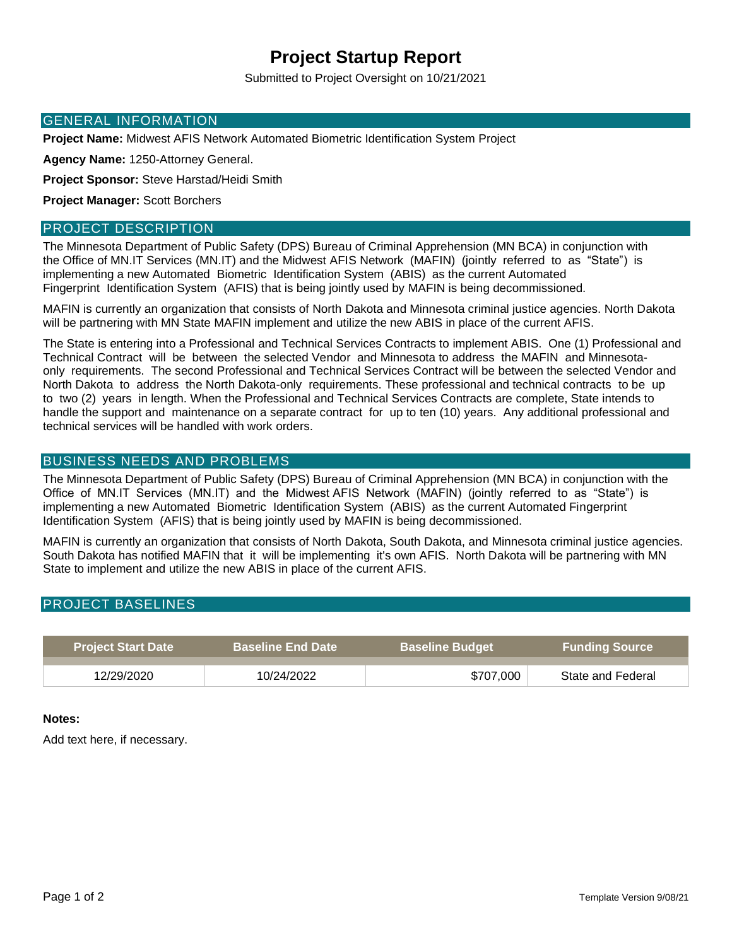# **Project Startup Report**

Submitted to Project Oversight on 10/21/2021

### GENERAL INFORMATION

**Project Name:** Midwest AFIS Network Automated Biometric Identification System Project

**Agency Name:** 1250-Attorney General.

**Project Sponsor:** Steve Harstad/Heidi Smith

**Project Manager:** Scott Borchers

#### PROJECT DESCRIPTION

The Minnesota Department of Public Safety (DPS) Bureau of Criminal Apprehension (MN BCA) in conjunction with the Office of MN.IT Services (MN.IT) and the Midwest AFIS Network (MAFIN) (jointly referred to as "State") is implementing a new Automated Biometric Identification System (ABIS) as the current Automated Fingerprint Identification System (AFIS) that is being jointly used by MAFIN is being decommissioned.

MAFIN is currently an organization that consists of North Dakota and Minnesota criminal justice agencies. North Dakota will be partnering with MN State MAFIN implement and utilize the new ABIS in place of the current AFIS.

The State is entering into a Professional and Technical Services Contracts to implement ABIS. One (1) Professional and Technical Contract will be between the selected Vendor and Minnesota to address the MAFIN and Minnesotaonly requirements. The second Professional and Technical Services Contract will be between the selected Vendor and North Dakota to address the North Dakota-only requirements. These professional and technical contracts to be up to two (2) years in length. When the Professional and Technical Services Contracts are complete, State intends to handle the support and maintenance on a separate contract for up to ten (10) years. Any additional professional and technical services will be handled with work orders.

### BUSINESS NEEDS AND PROBLEMS

The Minnesota Department of Public Safety (DPS) Bureau of Criminal Apprehension (MN BCA) in conjunction with the Office of MN.IT Services (MN.IT) and the Midwest AFIS Network (MAFIN) (jointly referred to as "State") is implementing a new Automated Biometric Identification System (ABIS) as the current Automated Fingerprint Identification System (AFIS) that is being jointly used by MAFIN is being decommissioned.

MAFIN is currently an organization that consists of North Dakota, South Dakota, and Minnesota criminal justice agencies. South Dakota has notified MAFIN that it will be implementing it's own AFIS. North Dakota will be partnering with MN State to implement and utilize the new ABIS in place of the current AFIS.

## PROJECT BASELINES

| <b>Project Start Date</b> | <b>Baseline End Date</b> \ | <b>Baseline Budget</b> | <b>Funding Source</b> |
|---------------------------|----------------------------|------------------------|-----------------------|
| 12/29/2020                | 10/24/2022                 | \$707,000              | State and Federal     |

#### **Notes:**

Add text here, if necessary.